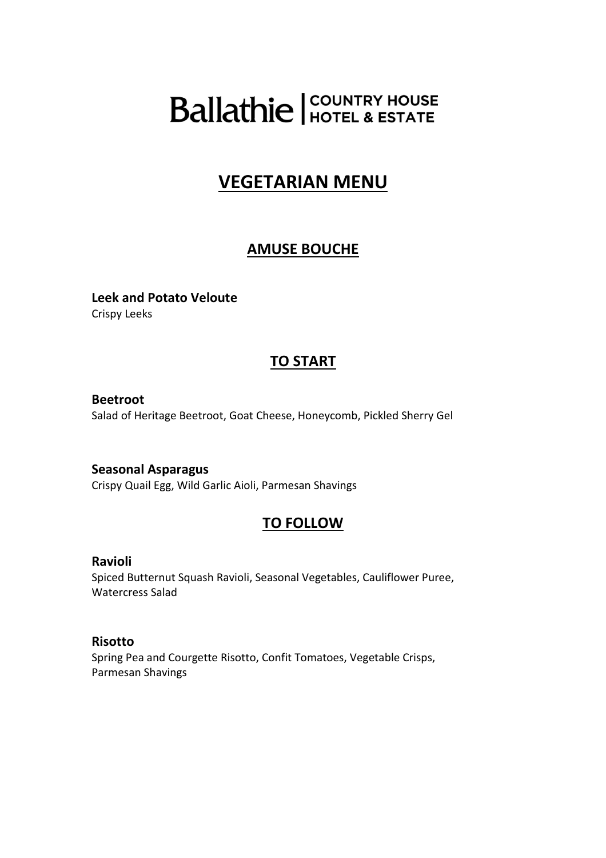# **Ballathie** FOUNTRY HOUSE

# **VEGETARIAN MENU**

# **AMUSE BOUCHE**

**Leek and Potato Veloute**  Crispy Leeks

# **TO START**

**Beetroot**  Salad of Heritage Beetroot, Goat Cheese, Honeycomb, Pickled Sherry Gel

**Seasonal Asparagus**  Crispy Quail Egg, Wild Garlic Aioli, Parmesan Shavings

# **TO FOLLOW**

**Ravioli** 

Spiced Butternut Squash Ravioli, Seasonal Vegetables, Cauliflower Puree, Watercress Salad

## **Risotto**

Spring Pea and Courgette Risotto, Confit Tomatoes, Vegetable Crisps, Parmesan Shavings